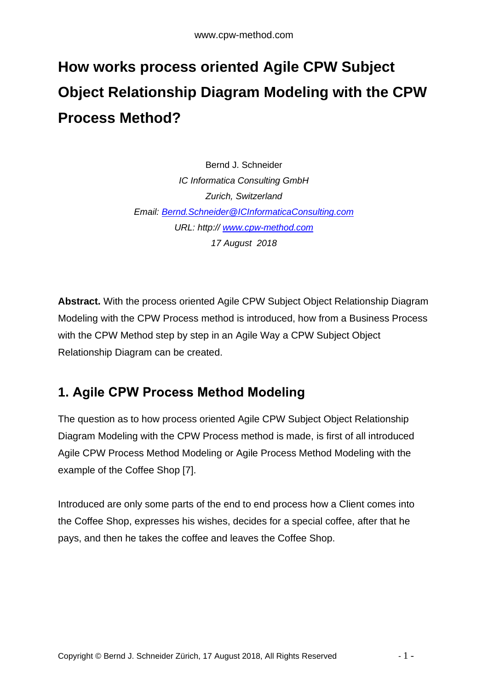# **How works process oriented Agile CPW Subject Object Relationship Diagram Modeling with the CPW Process Method?**

Bernd J. Schneider *IC Informatica Consulting GmbH Zurich, Switzerland Email: [Bernd.Schneider@ICInformaticaConsulting.com](mailto:Bernd.Schneider@ICInformaticaConsulting.com) URL: http:// [www.cpw-method.com](http://www.cpw-method.com/) 17 August 2018*

**Abstract.** With the process oriented Agile CPW Subject Object Relationship Diagram Modeling with the CPW Process method is introduced, how from a Business Process with the CPW Method step by step in an Agile Way a CPW Subject Object Relationship Diagram can be created.

## **1. Agile CPW Process Method Modeling**

The question as to how process oriented Agile CPW Subject Object Relationship Diagram Modeling with the CPW Process method is made, is first of all introduced Agile CPW Process Method Modeling or Agile Process Method Modeling with the example of the Coffee Shop [7].

Introduced are only some parts of the end to end process how a Client comes into the Coffee Shop, expresses his wishes, decides for a special coffee, after that he pays, and then he takes the coffee and leaves the Coffee Shop.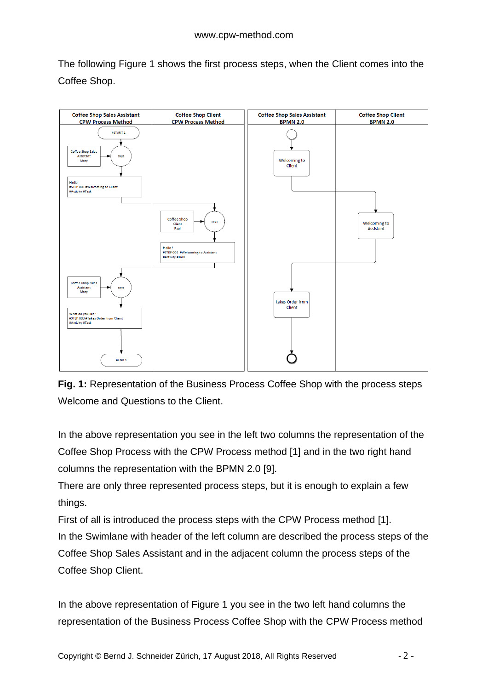The following Figure 1 shows the first process steps, when the Client comes into the Coffee Shop.



**Fig. 1:** Representation of the Business Process Coffee Shop with the process steps Welcome and Questions to the Client.

In the above representation you see in the left two columns the representation of the Coffee Shop Process with the CPW Process method [1] and in the two right hand columns the representation with the BPMN 2.0 [9].

There are only three represented process steps, but it is enough to explain a few things.

First of all is introduced the process steps with the CPW Process method [1]. In the Swimlane with header of the left column are described the process steps of the Coffee Shop Sales Assistant and in the adjacent column the process steps of the Coffee Shop Client.

In the above representation of Figure 1 you see in the two left hand columns the representation of the Business Process Coffee Shop with the CPW Process method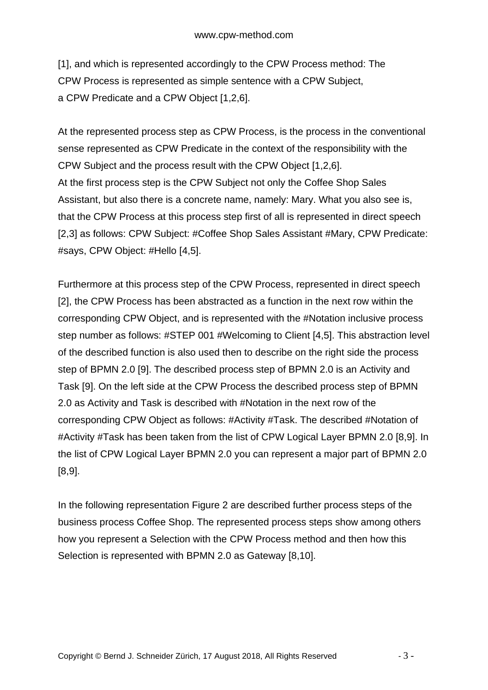[1], and which is represented accordingly to the CPW Process method: The CPW Process is represented as simple sentence with a CPW Subject, a CPW Predicate and a CPW Object [1,2,6].

At the represented process step as CPW Process, is the process in the conventional sense represented as CPW Predicate in the context of the responsibility with the CPW Subject and the process result with the CPW Object [1,2,6]. At the first process step is the CPW Subject not only the Coffee Shop Sales Assistant, but also there is a concrete name, namely: Mary. What you also see is, that the CPW Process at this process step first of all is represented in direct speech [2,3] as follows: CPW Subject: #Coffee Shop Sales Assistant #Mary, CPW Predicate: #says, CPW Object: #Hello [4,5].

Furthermore at this process step of the CPW Process, represented in direct speech [2], the CPW Process has been abstracted as a function in the next row within the corresponding CPW Object, and is represented with the #Notation inclusive process step number as follows: #STEP 001 #Welcoming to Client [4,5]. This abstraction level of the described function is also used then to describe on the right side the process step of BPMN 2.0 [9]. The described process step of BPMN 2.0 is an Activity and Task [9]. On the left side at the CPW Process the described process step of BPMN 2.0 as Activity and Task is described with #Notation in the next row of the corresponding CPW Object as follows: #Activity #Task. The described #Notation of #Activity #Task has been taken from the list of CPW Logical Layer BPMN 2.0 [8,9]. In the list of CPW Logical Layer BPMN 2.0 you can represent a major part of BPMN 2.0 [8,9].

In the following representation Figure 2 are described further process steps of the business process Coffee Shop. The represented process steps show among others how you represent a Selection with the CPW Process method and then how this Selection is represented with BPMN 2.0 as Gateway [8,10].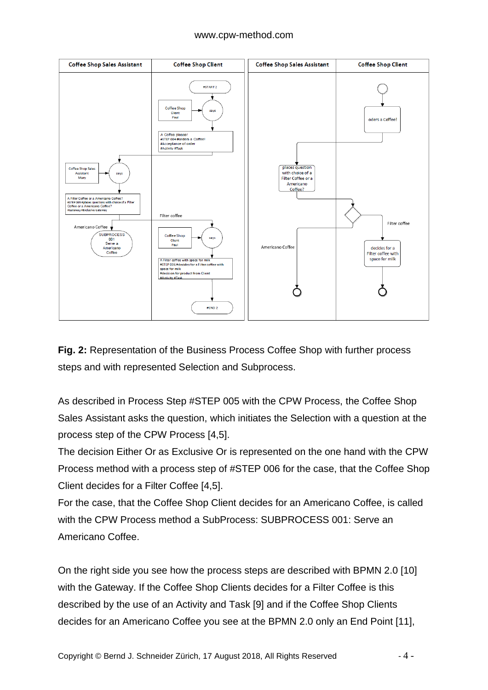

**Fig. 2:** Representation of the Business Process Coffee Shop with further process steps and with represented Selection and Subprocess.

As described in Process Step #STEP 005 with the CPW Process, the Coffee Shop Sales Assistant asks the question, which initiates the Selection with a question at the process step of the CPW Process [4,5].

The decision Either Or as Exclusive Or is represented on the one hand with the CPW Process method with a process step of #STEP 006 for the case, that the Coffee Shop Client decides for a Filter Coffee [4,5].

For the case, that the Coffee Shop Client decides for an Americano Coffee, is called with the CPW Process method a SubProcess: SUBPROCESS 001: Serve an Americano Coffee.

On the right side you see how the process steps are described with BPMN 2.0 [10] with the Gateway. If the Coffee Shop Clients decides for a Filter Coffee is this described by the use of an Activity and Task [9] and if the Coffee Shop Clients decides for an Americano Coffee you see at the BPMN 2.0 only an End Point [11],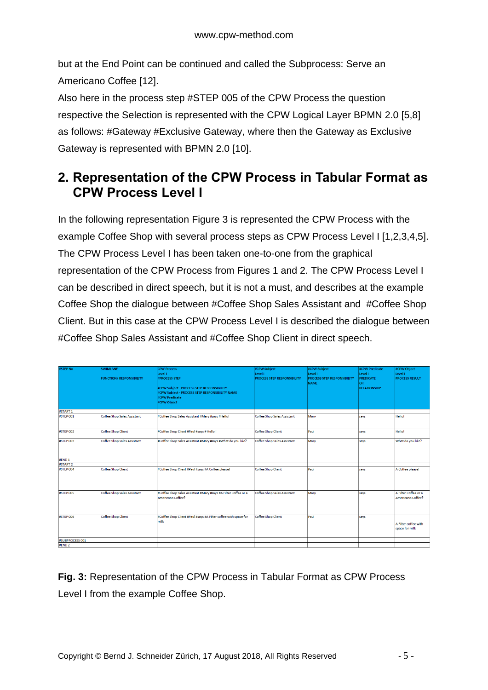but at the End Point can be continued and called the Subprocess: Serve an Americano Coffee [12].

Also here in the process step #STEP 005 of the CPW Process the question respective the Selection is represented with the CPW Logical Layer BPMN 2.0 [5,8] as follows: #Gateway #Exclusive Gateway, where then the Gateway as Exclusive Gateway is represented with BPMN 2.0 [10].

### **2. Representation of the CPW Process in Tabular Format as CPW Process Level I**

In the following representation Figure 3 is represented the CPW Process with the example Coffee Shop with several process steps as CPW Process Level I [1,2,3,4,5]. The CPW Process Level I has been taken one-to-one from the graphical representation of the CPW Process from Figures 1 and 2. The CPW Process Level I can be described in direct speech, but it is not a must, and describes at the example Coffee Shop the dialogue between #Coffee Shop Sales Assistant and #Coffee Shop Client. But in this case at the CPW Process Level I is described the dialogue between #Coffee Shop Sales Assistant and #Coffee Shop Client in direct speech.

| #STEP No              | <b>SWIMLANE</b><br><b>FUNCTION/ RESPONSIBILITY</b> | <b>CPW Process</b><br>Level I<br><b>#PROCESS STEP</b><br>#CPW Subject - PROCESS STEP RESPONSIBILITY<br>#CPW Subject - PROCESS STEP RESPONSIBILITY NAME<br>#CPW Predicate<br>#CPW Object | #CPW Subject<br>Level I<br>PROCESS STEP RESPONSIBILITY | #CPW Subject<br>Level I<br><b>PROCESS STEP RESPONSIBILITY</b><br><b>NAME</b> | #CPW Predicate<br>Level I<br><b>PREDICATE</b><br><b>OR</b><br><b>RELATIONSHIP</b> | #CPW Object<br>Level I<br><b>PROCESS RESULT</b> |
|-----------------------|----------------------------------------------------|-----------------------------------------------------------------------------------------------------------------------------------------------------------------------------------------|--------------------------------------------------------|------------------------------------------------------------------------------|-----------------------------------------------------------------------------------|-------------------------------------------------|
| #START 1<br>#STEP 001 | Coffee Shop Sales Assistant                        | #Coffee Shop Sales Assistant #Mary #says #Hello!                                                                                                                                        | Coffee Shop Sales Assistant                            | Mary                                                                         | says                                                                              | <b>Hello!</b>                                   |
|                       |                                                    |                                                                                                                                                                                         |                                                        |                                                                              |                                                                                   |                                                 |
| #STEP 002             | Coffee Shop Client                                 | #Coffee Shop Client #Paul #says # Hello !                                                                                                                                               | Coffee Shop Client                                     | Paul                                                                         | says                                                                              | <b>Hello!</b>                                   |
| #STEP 003             | Coffee Shop Sales Assistant                        | #Coffee Shop Sales Assistant #Mary #says #What do you like?                                                                                                                             | Coffee Shop Sales Assistant                            | Mary                                                                         | says                                                                              | What do you like?                               |
| #END <sub>1</sub>     |                                                    |                                                                                                                                                                                         |                                                        |                                                                              |                                                                                   |                                                 |
| #START 2              |                                                    |                                                                                                                                                                                         |                                                        |                                                                              |                                                                                   |                                                 |
| #STEP 004             | Coffee Shop Client                                 | #Coffee Shop Client #Paul #says #A Coffee please!                                                                                                                                       | Coffee Shop Client                                     | Paul                                                                         | says                                                                              | A Coffee please!                                |
| #STEP 005             | Coffee Shop Sales Assistant                        | #Coffee Shop Sales Assistant #Mary #says #A Filter Coffee or a<br>Americano Coffee?                                                                                                     | Coffee Shop Sales Assistant                            | Mary                                                                         | says                                                                              | A Filter Coffee or a<br>Americano Coffee?       |
| #STEP 006             | Coffee Shop Client                                 | #Coffee Shop Client #Paul #says #A Filter coffee with space for<br>milk                                                                                                                 | Coffee Shop Client                                     | Paul                                                                         | says                                                                              | A Filter coffee with<br>space for milk          |
| #SUBPROCESS 001       |                                                    |                                                                                                                                                                                         |                                                        |                                                                              |                                                                                   |                                                 |
| #END <sub>2</sub>     |                                                    |                                                                                                                                                                                         |                                                        |                                                                              |                                                                                   |                                                 |

**Fig. 3:** Representation of the CPW Process in Tabular Format as CPW Process Level I from the example Coffee Shop.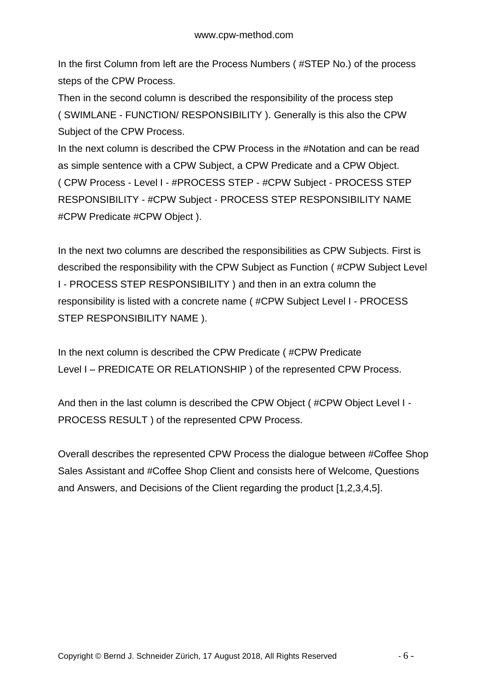In the first Column from left are the Process Numbers ( #STEP No.) of the process steps of the CPW Process.

Then in the second column is described the responsibility of the process step ( SWIMLANE - FUNCTION/ RESPONSIBILITY ). Generally is this also the CPW Subject of the CPW Process.

In the next column is described the CPW Process in the #Notation and can be read as simple sentence with a CPW Subject, a CPW Predicate and a CPW Object. ( CPW Process - Level I - #PROCESS STEP - #CPW Subject - PROCESS STEP RESPONSIBILITY - #CPW Subject - PROCESS STEP RESPONSIBILITY NAME #CPW Predicate #CPW Object ).

In the next two columns are described the responsibilities as CPW Subjects. First is described the responsibility with the CPW Subject as Function ( #CPW Subject Level I - PROCESS STEP RESPONSIBILITY ) and then in an extra column the responsibility is listed with a concrete name ( #CPW Subject Level I - PROCESS STEP RESPONSIBILITY NAME ).

In the next column is described the CPW Predicate ( #CPW Predicate Level I – PREDICATE OR RELATIONSHIP ) of the represented CPW Process.

And then in the last column is described the CPW Object ( #CPW Object Level I - PROCESS RESULT ) of the represented CPW Process.

Overall describes the represented CPW Process the dialogue between #Coffee Shop Sales Assistant and #Coffee Shop Client and consists here of Welcome, Questions and Answers, and Decisions of the Client regarding the product [1,2,3,4,5].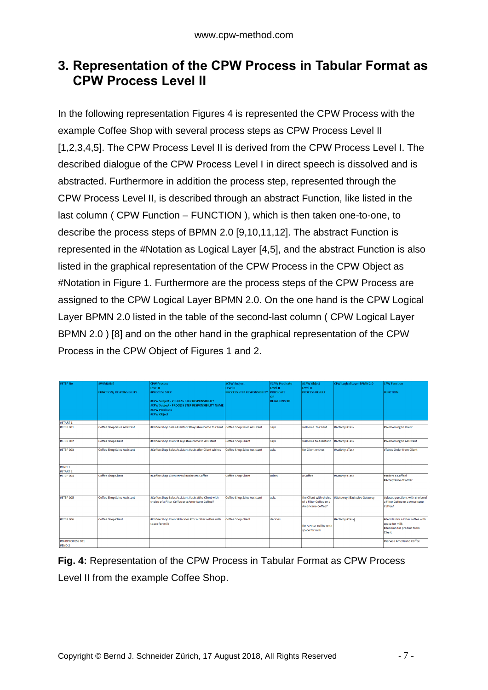### **3. Representation of the CPW Process in Tabular Format as CPW Process Level II**

In the following representation Figures 4 is represented the CPW Process with the example Coffee Shop with several process steps as CPW Process Level II [1,2,3,4,5]. The CPW Process Level II is derived from the CPW Process Level I. The described dialogue of the CPW Process Level I in direct speech is dissolved and is abstracted. Furthermore in addition the process step, represented through the CPW Process Level II, is described through an abstract Function, like listed in the last column ( CPW Function – FUNCTION ), which is then taken one-to-one, to describe the process steps of BPMN 2.0 [9,10,11,12]. The abstract Function is represented in the #Notation as Logical Layer [4,5], and the abstract Function is also listed in the graphical representation of the CPW Process in the CPW Object as #Notation in Figure 1. Furthermore are the process steps of the CPW Process are assigned to the CPW Logical Layer BPMN 2.0. On the one hand is the CPW Logical Layer BPMN 2.0 listed in the table of the second-last column ( CPW Logical Layer BPMN 2.0 ) [8] and on the other hand in the graphical representation of the CPW Process in the CPW Object of Figures 1 and 2.

| #STEP No            | <b>SWIMLANE</b>                    | <b>CPW Process</b><br>Level II                                                                                                 | #CPW Subject<br>Level II           | #CPW Predicate<br>Level II | #CPW Object<br>Level II                                                | CPW Logical Layer BPMN 2.0  | <b>CPW Function</b>                                                                         |
|---------------------|------------------------------------|--------------------------------------------------------------------------------------------------------------------------------|------------------------------------|----------------------------|------------------------------------------------------------------------|-----------------------------|---------------------------------------------------------------------------------------------|
|                     | <b>FUNCTION/ RESPONSIBILITY</b>    | <b>#PROCESS STEP</b>                                                                                                           | <b>PROCESS STEP RESPONSIBILITY</b> | <b>PREDICATE</b>           | <b>PROCESS RESULT</b>                                                  |                             | <b>FUNCTION</b>                                                                             |
|                     |                                    | #CPW Subject - PROCESS STEP RESPONSIBILITY<br>#CPW Subject - PROCESS STEP RESPONSIBILITY NAME<br>#CPW Predicate<br>#CPW Object |                                    | ŌR<br><b>RELATIONSHIP</b>  |                                                                        |                             |                                                                                             |
| #START 1            |                                    |                                                                                                                                |                                    |                            |                                                                        |                             |                                                                                             |
| #STEP 001           | <b>Coffee Shop Sales Assistant</b> | #Coffee Shop Sales Assistant #says #welcome to Client Coffee Shop Sales Assistant                                              |                                    | says                       | welcome to Client                                                      | #Activity #Task             | #Welcoming to Client                                                                        |
| #STEP 002           | <b>Coffee Shop Client</b>          | #Coffee Shop Client # says #welcome to Assistant                                                                               | <b>Coffee Shop Client</b>          | says                       | welcome to Assistant                                                   | #Activity #Task             | #Welcoming to Assistant                                                                     |
| #STEP 003           | <b>Coffee Shop Sales Assistant</b> | #Coffee Shop Sales Assistant #asks #for Client wishes                                                                          | Coffee Shop Sales Assistant        | lasks                      | for Client wishes                                                      | #Activity #Task             | #Takes Order from Client                                                                    |
| #END 1              |                                    |                                                                                                                                |                                    |                            |                                                                        |                             |                                                                                             |
| #START <sub>2</sub> |                                    |                                                                                                                                |                                    |                            |                                                                        |                             |                                                                                             |
| #STEP 004           | <b>Coffee Shop Client</b>          | #Coffee Shop Client #Paul #oders #a Coffee                                                                                     | Coffee Shop Client                 | loders                     | a Coffee                                                               | #Activity #Task             | #orders a Coffee!<br>#Acceptance of order                                                   |
| #STEP 005           | <b>Coffee Shop Sales Assistant</b> | #Coffee Shop Sales Assistant #asks #the Client with<br>choice of a Filter Coffee or a Americano Coffee?                        | Coffee Shop Sales Assistant        | lasks                      | the Client with choice<br>of a Filter Coffee or a<br>Americano Coffee? | #Gateway #Exclusive Gateway | #places questions with choice of<br>a Filter Coffee or a Americano<br>Coffee?               |
| #STEP 006           | <b>Coffee Shop Client</b>          | #Coffee Shop Client #decides #for a Filter coffee with<br>space for milk                                                       | Coffee Shop Client                 | decides                    | for A Filter coffee with<br>space for milk                             | #Activity #Task             | #decides for a Filter coffee with<br>space for milk<br>#decision for product from<br>Client |
| #SUBPROCESS 001     |                                    |                                                                                                                                |                                    |                            |                                                                        |                             | #Serve a Americano Coffee                                                                   |
| <b>#END 2</b>       |                                    |                                                                                                                                |                                    |                            |                                                                        |                             |                                                                                             |

**Fig. 4:** Representation of the CPW Process in Tabular Format as CPW Process Level II from the example Coffee Shop.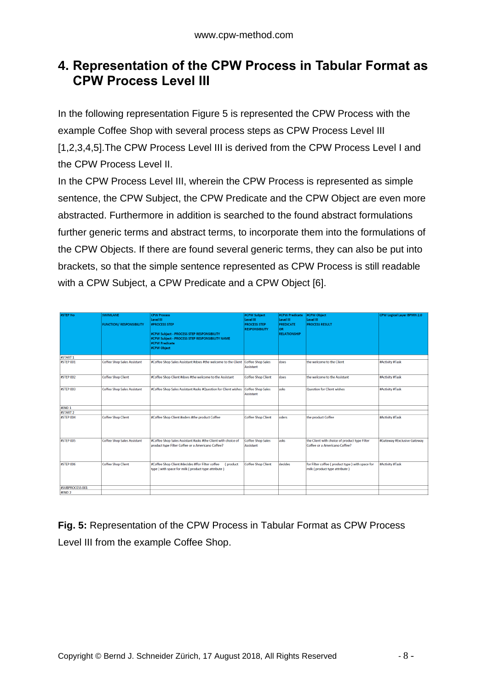### **4. Representation of the CPW Process in Tabular Format as CPW Process Level III**

In the following representation Figure 5 is represented the CPW Process with the example Coffee Shop with several process steps as CPW Process Level III [1,2,3,4,5].The CPW Process Level III is derived from the CPW Process Level I and the CPW Process Level II.

In the CPW Process Level III, wherein the CPW Process is represented as simple sentence, the CPW Subject, the CPW Predicate and the CPW Object are even more abstracted. Furthermore in addition is searched to the found abstract formulations further generic terms and abstract terms, to incorporate them into the formulations of the CPW Objects. If there are found several generic terms, they can also be put into brackets, so that the simple sentence represented as CPW Process is still readable with a CPW Subject, a CPW Predicate and a CPW Object [6].

| #STEP No          | <b>SWIMLANE</b><br><b>FUNCTION/ RESPONSIBILITY</b> | <b>CPW Process</b><br>Level III<br><b>#PROCESS STEP</b><br>#CPW Subject - PROCESS STEP RESPONSIBILITY<br>#CPW Subject - PROCESS STEP RESPONSIBILITY NAME<br>#CPW Predicate<br>#CPW Object | #CPW Subject<br>Level III<br><b>PROCESS STEP</b><br><b>RESPONSIBILITY</b> | #CPW Predicate<br>Level III<br><b>PREDICATE</b><br><b>OR</b><br><b>RELATIONSHIP</b> | #CPW Object<br>Level III<br><b>PROCESS RESULT</b>                                | CPW Logical Layer BPMN 2.0  |
|-------------------|----------------------------------------------------|-------------------------------------------------------------------------------------------------------------------------------------------------------------------------------------------|---------------------------------------------------------------------------|-------------------------------------------------------------------------------------|----------------------------------------------------------------------------------|-----------------------------|
| #START 1          |                                                    |                                                                                                                                                                                           |                                                                           |                                                                                     |                                                                                  |                             |
| #STEP 001         | <b>Coffee Shop Sales Assistant</b>                 | #Coffee Shop Sales Assistant #does #the welcome to the Client                                                                                                                             | <b>Coffee Shop Sales</b><br>Assistant                                     | does                                                                                | the welcome to the Client                                                        | #Activity #Task             |
| #STEP 002         | <b>Coffee Shop Client</b>                          | #Coffee Shop Client #does #the welcome to the Assistant                                                                                                                                   | <b>Coffee Shop Client</b>                                                 | does                                                                                | the welcome to the Assistant                                                     | #Activity #Task             |
| #STEP 003         | <b>Coffee Shop Sales Assistant</b>                 | #Coffee Shop Sales Assistant #asks #Question for Client wishes                                                                                                                            | <b>Coffee Shop Sales</b><br>Assistant                                     | asks                                                                                | Question for Client wishes                                                       | #Activity #Task             |
| #END <sub>1</sub> |                                                    |                                                                                                                                                                                           |                                                                           |                                                                                     |                                                                                  |                             |
| #START 2          |                                                    |                                                                                                                                                                                           |                                                                           |                                                                                     |                                                                                  |                             |
| #STEP 004         | <b>Coffee Shop Client</b>                          | #Coffee Shop Client #oders #the product Coffee                                                                                                                                            | Coffee Shop Client                                                        | oders                                                                               | the product Coffee                                                               | #Activity #Task             |
| #STEP 005         | <b>Coffee Shop Sales Assistant</b>                 | #Coffee Shop Sales Assistant #asks #the Client with choice of<br>product type Filter Coffee or a Americano Coffee?                                                                        | <b>Coffee Shop Sales</b><br><b>Assistant</b>                              | lasks                                                                               | the Client with choice of product type Filter<br>Coffee or a Americano Coffee?   | #Gateway #Exclusive Gateway |
| <b>#STEP 006</b>  | <b>Coffee Shop Client</b>                          | #Coffee Shop Client #decides #ffor Filter coffee<br>(product<br>type ) with space for milk (product type attribute)                                                                       | <b>Coffee Shop Client</b>                                                 | decides                                                                             | for Filter coffee (product type) with space for<br>milk (product type attribute) | #Activity #Task             |
| #SUBPROCESS 001   |                                                    |                                                                                                                                                                                           |                                                                           |                                                                                     |                                                                                  |                             |
| #END <sub>2</sub> |                                                    |                                                                                                                                                                                           |                                                                           |                                                                                     |                                                                                  |                             |

**Fig. 5:** Representation of the CPW Process in Tabular Format as CPW Process Level III from the example Coffee Shop.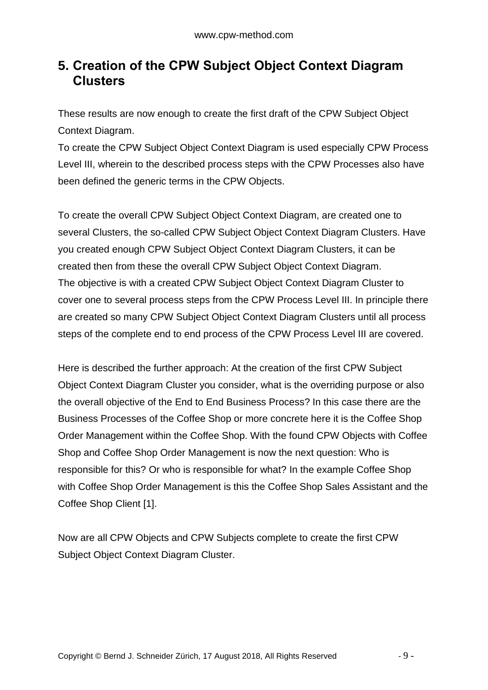### **5. Creation of the CPW Subject Object Context Diagram Clusters**

These results are now enough to create the first draft of the CPW Subject Object Context Diagram.

To create the CPW Subject Object Context Diagram is used especially CPW Process Level III, wherein to the described process steps with the CPW Processes also have been defined the generic terms in the CPW Objects.

To create the overall CPW Subject Object Context Diagram, are created one to several Clusters, the so-called CPW Subject Object Context Diagram Clusters. Have you created enough CPW Subject Object Context Diagram Clusters, it can be created then from these the overall CPW Subject Object Context Diagram. The objective is with a created CPW Subject Object Context Diagram Cluster to cover one to several process steps from the CPW Process Level III. In principle there are created so many CPW Subject Object Context Diagram Clusters until all process steps of the complete end to end process of the CPW Process Level III are covered.

Here is described the further approach: At the creation of the first CPW Subject Object Context Diagram Cluster you consider, what is the overriding purpose or also the overall objective of the End to End Business Process? In this case there are the Business Processes of the Coffee Shop or more concrete here it is the Coffee Shop Order Management within the Coffee Shop. With the found CPW Objects with Coffee Shop and Coffee Shop Order Management is now the next question: Who is responsible for this? Or who is responsible for what? In the example Coffee Shop with Coffee Shop Order Management is this the Coffee Shop Sales Assistant and the Coffee Shop Client [1].

Now are all CPW Objects and CPW Subjects complete to create the first CPW Subject Object Context Diagram Cluster.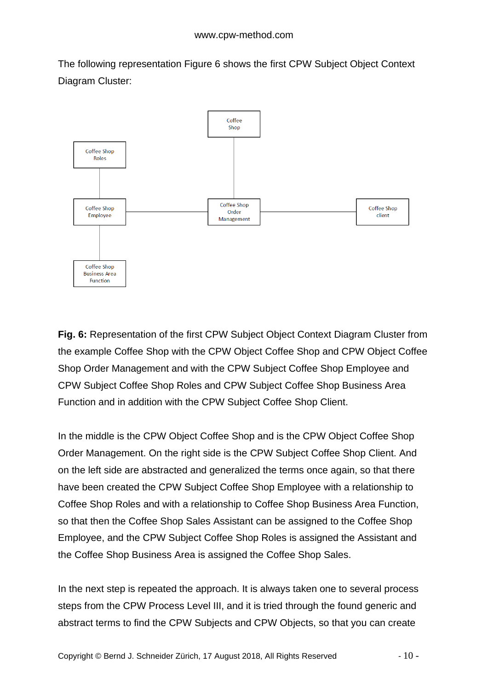The following representation Figure 6 shows the first CPW Subject Object Context Diagram Cluster:



**Fig. 6:** Representation of the first CPW Subject Object Context Diagram Cluster from the example Coffee Shop with the CPW Object Coffee Shop and CPW Object Coffee Shop Order Management and with the CPW Subject Coffee Shop Employee and CPW Subject Coffee Shop Roles and CPW Subject Coffee Shop Business Area Function and in addition with the CPW Subject Coffee Shop Client.

In the middle is the CPW Object Coffee Shop and is the CPW Object Coffee Shop Order Management. On the right side is the CPW Subject Coffee Shop Client. And on the left side are abstracted and generalized the terms once again, so that there have been created the CPW Subject Coffee Shop Employee with a relationship to Coffee Shop Roles and with a relationship to Coffee Shop Business Area Function, so that then the Coffee Shop Sales Assistant can be assigned to the Coffee Shop Employee, and the CPW Subject Coffee Shop Roles is assigned the Assistant and the Coffee Shop Business Area is assigned the Coffee Shop Sales.

In the next step is repeated the approach. It is always taken one to several process steps from the CPW Process Level III, and it is tried through the found generic and abstract terms to find the CPW Subjects and CPW Objects, so that you can create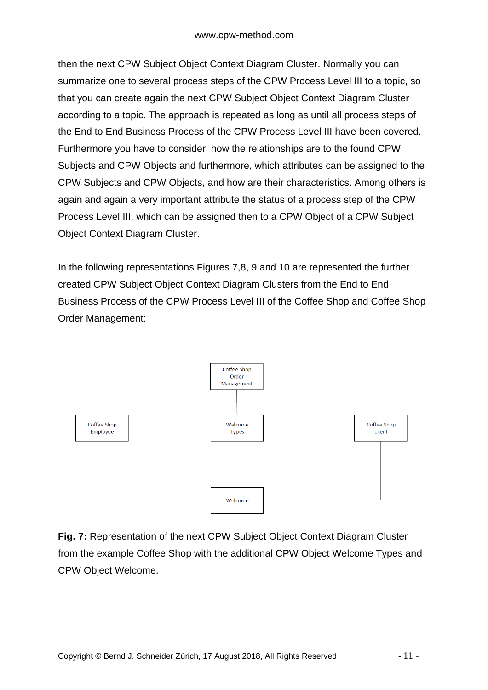then the next CPW Subject Object Context Diagram Cluster. Normally you can summarize one to several process steps of the CPW Process Level III to a topic, so that you can create again the next CPW Subject Object Context Diagram Cluster according to a topic. The approach is repeated as long as until all process steps of the End to End Business Process of the CPW Process Level III have been covered. Furthermore you have to consider, how the relationships are to the found CPW Subjects and CPW Objects and furthermore, which attributes can be assigned to the CPW Subjects and CPW Objects, and how are their characteristics. Among others is again and again a very important attribute the status of a process step of the CPW Process Level III, which can be assigned then to a CPW Object of a CPW Subject Object Context Diagram Cluster.

In the following representations Figures 7,8, 9 and 10 are represented the further created CPW Subject Object Context Diagram Clusters from the End to End Business Process of the CPW Process Level III of the Coffee Shop and Coffee Shop Order Management:



**Fig. 7:** Representation of the next CPW Subject Object Context Diagram Cluster from the example Coffee Shop with the additional CPW Object Welcome Types and CPW Object Welcome.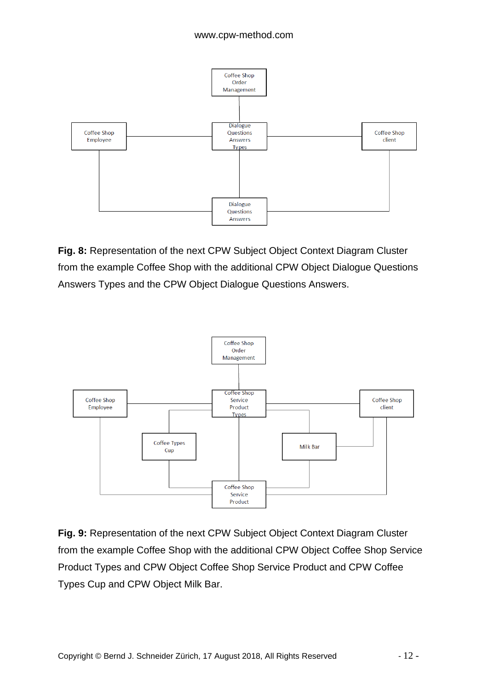

**Fig. 8:** Representation of the next CPW Subject Object Context Diagram Cluster from the example Coffee Shop with the additional CPW Object Dialogue Questions Answers Types and the CPW Object Dialogue Questions Answers.



**Fig. 9:** Representation of the next CPW Subject Object Context Diagram Cluster from the example Coffee Shop with the additional CPW Object Coffee Shop Service Product Types and CPW Object Coffee Shop Service Product and CPW Coffee Types Cup and CPW Object Milk Bar.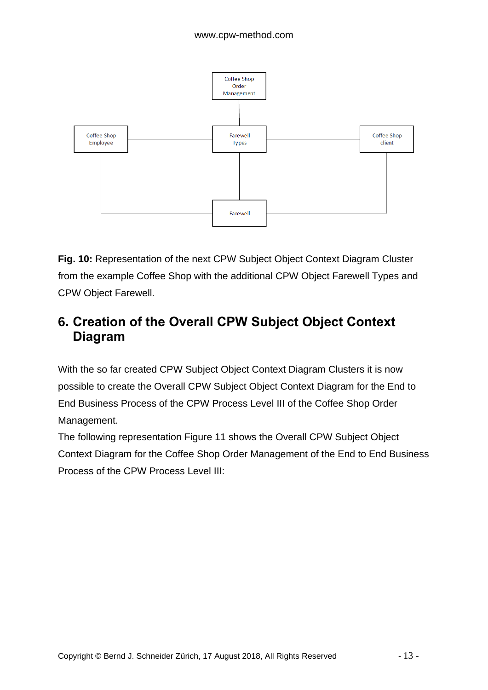

**Fig. 10:** Representation of the next CPW Subject Object Context Diagram Cluster from the example Coffee Shop with the additional CPW Object Farewell Types and CPW Object Farewell.

### **6. Creation of the Overall CPW Subject Object Context Diagram**

With the so far created CPW Subject Object Context Diagram Clusters it is now possible to create the Overall CPW Subject Object Context Diagram for the End to End Business Process of the CPW Process Level III of the Coffee Shop Order Management.

The following representation Figure 11 shows the Overall CPW Subject Object Context Diagram for the Coffee Shop Order Management of the End to End Business Process of the CPW Process Level III: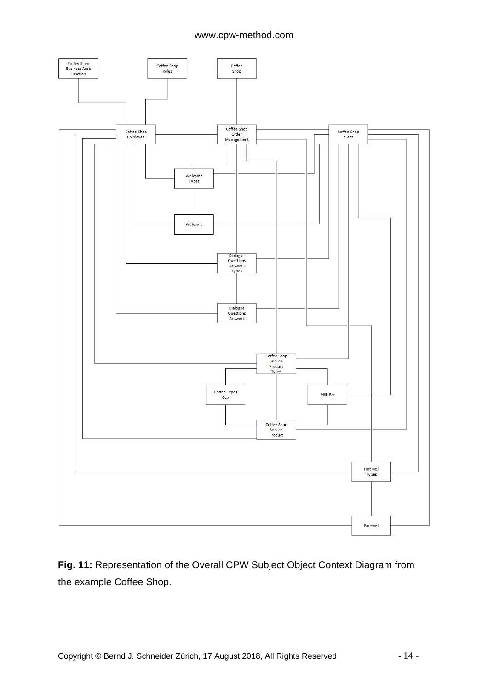

**Fig. 11:** Representation of the Overall CPW Subject Object Context Diagram from the example Coffee Shop.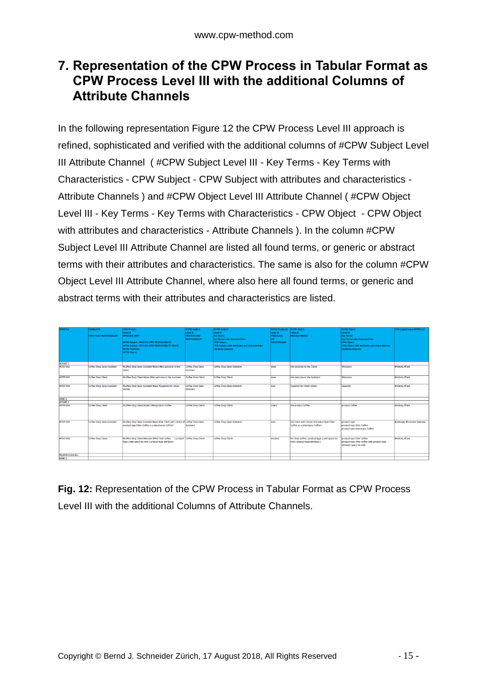### **7. Representation of the CPW Process in Tabular Format as CPW Process Level III with the additional Columns of Attribute Channels**

In the following representation Figure 12 the CPW Process Level III approach is refined, sophisticated and verified with the additional columns of #CPW Subject Level III Attribute Channel ( #CPW Subject Level III - Key Terms - Key Terms with Characteristics - CPW Subject - CPW Subject with attributes and characteristics - Attribute Channels ) and #CPW Object Level III Attribute Channel ( #CPW Object Level III - Key Terms - Key Terms with Characteristics - CPW Object - CPW Object with attributes and characteristics - Attribute Channels ). In the column #CPW Subject Level III Attribute Channel are listed all found terms, or generic or abstract terms with their attributes and characteristics. The same is also for the column #CPW Object Level III Attribute Channel, where also here all found terms, or generic and abstract terms with their attributes and characteristics are listed.

| <b>ISTEP No</b>  | <b>WIMLANE</b><br><b>FUNCTION/ RESPONSIBILITY</b> | <b>CPW Process</b><br>Level III<br><b><i>BPROCESS STEP</i></b><br>#CPW Subject - PROCESS STEP RESPONSIBILITY<br>#CPW Subject - PROCESS STEP RESPONSIBILITY NAME<br><b>#CPW Predicate</b><br>#CPW Object | <b>ECPW Subject</b><br>Level III<br><b>PROCESS STEP</b><br><b>RESPONSIBILITY</b> | <b>BCPW Subject</b><br>Level III<br><b>Key Terms</b><br><b>Key Terms with Characteristics</b><br><b>CPW Subject</b><br>CPW Subject with attributes and characteristics<br><b>Attribute Channels</b> | <b>SCPW Predicate</b><br>Level III<br><b>PREDICATE</b><br><b>RELATIONSHIP</b> | <b>RCPW Object</b><br>Level III<br><b>PROCESS RESULT</b>                          | <b>acpw Object</b><br>Level III<br><b>Key Terms</b><br><b>Key Terms with Characteristics</b><br><b>CPW Object</b><br><b>CPW Object with attributes and characteristics</b><br><b>Attribute Channels</b> | <b>CPW Logical Layer BPMN 2.0</b> |
|------------------|---------------------------------------------------|---------------------------------------------------------------------------------------------------------------------------------------------------------------------------------------------------------|----------------------------------------------------------------------------------|-----------------------------------------------------------------------------------------------------------------------------------------------------------------------------------------------------|-------------------------------------------------------------------------------|-----------------------------------------------------------------------------------|---------------------------------------------------------------------------------------------------------------------------------------------------------------------------------------------------------|-----------------------------------|
| <b>#START 1</b>  |                                                   |                                                                                                                                                                                                         |                                                                                  |                                                                                                                                                                                                     |                                                                               |                                                                                   |                                                                                                                                                                                                         |                                   |
| #STEP 001        | <b>Coffee Shop Sales Assistant</b>                | #Coffee Shop Sales Assistant #does #the welcome to the<br>Client                                                                                                                                        | Coffee Shop Sales<br>Assistant                                                   | <b>Coffee Shop Sales Assistant</b>                                                                                                                                                                  | does                                                                          | the welcome to the Client                                                         | Welcome                                                                                                                                                                                                 | #Activity #Task                   |
| <b>#STEP 002</b> | Coffee Shop Client                                | #Coffee Shop Client #does #the welcome to the Assistant                                                                                                                                                 | <b>Coffee Shop Client</b>                                                        | <b>Coffee Shop Client</b>                                                                                                                                                                           | does                                                                          | the welcome to the Assistant                                                      | Welcome                                                                                                                                                                                                 | <b>BActivity #Task</b>            |
| <b>ASTEP 003</b> | <b>Coffee Shop Sales Assistant</b>                | #Coffee Shop Sales Assistant #asks #Question for Client<br>wishes                                                                                                                                       | <b>Coffee Shop Sales</b><br>Assistant                                            | <b>Coffee Shop Sales Assistant</b>                                                                                                                                                                  | asks                                                                          | Question for Client wishes                                                        | Question                                                                                                                                                                                                | <b>BActivity #Task</b>            |
| #END 1           |                                                   |                                                                                                                                                                                                         |                                                                                  |                                                                                                                                                                                                     |                                                                               |                                                                                   |                                                                                                                                                                                                         |                                   |
| <b>#START 2</b>  |                                                   |                                                                                                                                                                                                         |                                                                                  |                                                                                                                                                                                                     |                                                                               |                                                                                   |                                                                                                                                                                                                         |                                   |
| #STEP 004        | Coffee Shop Client                                | #Coffee Shop Client #oders #the product Coffee                                                                                                                                                          | Coffee Shop Client                                                               | <b>Coffee Shop Client</b>                                                                                                                                                                           | loders                                                                        | the product Coffee                                                                | product Coffee                                                                                                                                                                                          | #Activity #Task                   |
| #STEP 005        | Coffee Shop Sales Assistant                       | #Coffee Shop Sales Assistant #asks #the Client with choice of Coffee Shop Sales<br>product type Filter Coffee or a Americano Coffee?                                                                    | <b>Assistant</b>                                                                 | Coffee Shop Sales Assistant                                                                                                                                                                         | lasks                                                                         | the Client with choice of product type Filter<br>Coffee or a Americano Coffee?    | product type<br>product type Filter Coffee<br>product type Americano Coffee                                                                                                                             | #Gateway #Exclusive Gateway       |
| #STEP 006        | Coffee Shop Client                                | #Coffee Shop Client #decides #ffor Filter coffee (product Coffee Shop Client<br>type I with space for milk ( product type attribute )                                                                   |                                                                                  | Coffee Shop Client                                                                                                                                                                                  | decides                                                                       | for Filter coffee (product type ) with space for<br>milk (product type attribute) | product type Filter coffee<br>product type Filter coffee with product type<br>attribute space for milk                                                                                                  | <b>MActivity #Task</b>            |
| #SUBPROCESS 001  |                                                   |                                                                                                                                                                                                         |                                                                                  |                                                                                                                                                                                                     |                                                                               |                                                                                   |                                                                                                                                                                                                         |                                   |
| <b>EFND 2</b>    |                                                   |                                                                                                                                                                                                         |                                                                                  |                                                                                                                                                                                                     |                                                                               |                                                                                   |                                                                                                                                                                                                         |                                   |

**Fig. 12:** Representation of the CPW Process in Tabular Format as CPW Process Level III with the additional Columns of Attribute Channels.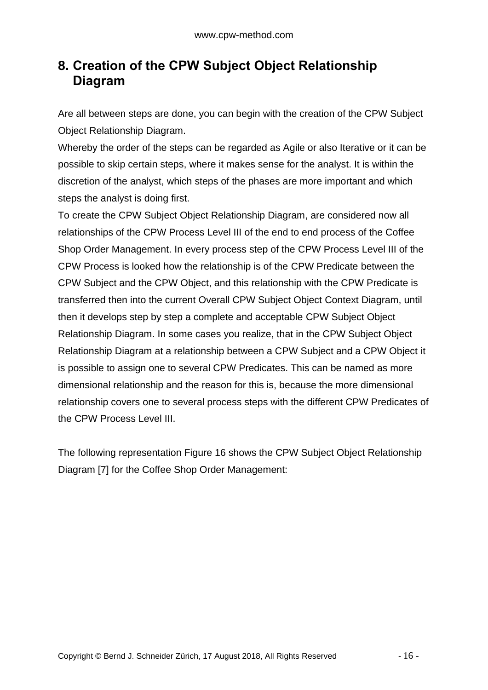### **8. Creation of the CPW Subject Object Relationship Diagram**

Are all between steps are done, you can begin with the creation of the CPW Subject Object Relationship Diagram.

Whereby the order of the steps can be regarded as Agile or also Iterative or it can be possible to skip certain steps, where it makes sense for the analyst. It is within the discretion of the analyst, which steps of the phases are more important and which steps the analyst is doing first.

To create the CPW Subject Object Relationship Diagram, are considered now all relationships of the CPW Process Level III of the end to end process of the Coffee Shop Order Management. In every process step of the CPW Process Level III of the CPW Process is looked how the relationship is of the CPW Predicate between the CPW Subject and the CPW Object, and this relationship with the CPW Predicate is transferred then into the current Overall CPW Subject Object Context Diagram, until then it develops step by step a complete and acceptable CPW Subject Object Relationship Diagram. In some cases you realize, that in the CPW Subject Object Relationship Diagram at a relationship between a CPW Subject and a CPW Object it is possible to assign one to several CPW Predicates. This can be named as more dimensional relationship and the reason for this is, because the more dimensional relationship covers one to several process steps with the different CPW Predicates of the CPW Process Level III.

The following representation Figure 16 shows the CPW Subject Object Relationship Diagram [7] for the Coffee Shop Order Management: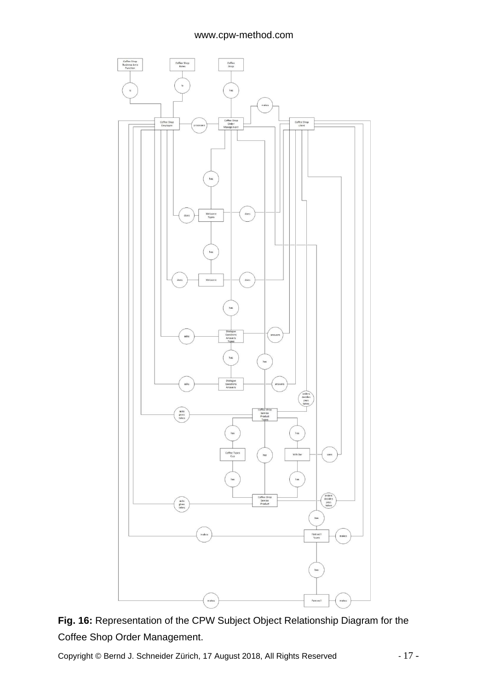



Copyright © Bernd J. Schneider Zürich, 17 August 2018, All Rights Reserved - 17 -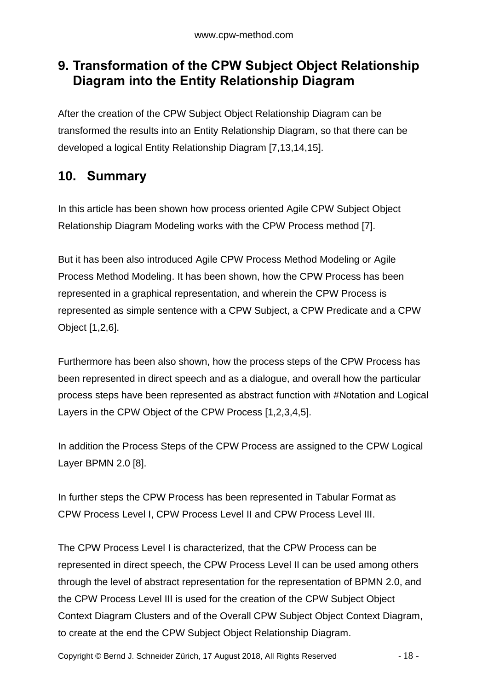### **9. Transformation of the CPW Subject Object Relationship Diagram into the Entity Relationship Diagram**

After the creation of the CPW Subject Object Relationship Diagram can be transformed the results into an Entity Relationship Diagram, so that there can be developed a logical Entity Relationship Diagram [7,13,14,15].

### **10. Summary**

In this article has been shown how process oriented Agile CPW Subject Object Relationship Diagram Modeling works with the CPW Process method [7].

But it has been also introduced Agile CPW Process Method Modeling or Agile Process Method Modeling. It has been shown, how the CPW Process has been represented in a graphical representation, and wherein the CPW Process is represented as simple sentence with a CPW Subject, a CPW Predicate and a CPW Object [1,2,6].

Furthermore has been also shown, how the process steps of the CPW Process has been represented in direct speech and as a dialogue, and overall how the particular process steps have been represented as abstract function with #Notation and Logical Layers in the CPW Object of the CPW Process [1,2,3,4,5].

In addition the Process Steps of the CPW Process are assigned to the CPW Logical Layer BPMN 2.0 [8].

In further steps the CPW Process has been represented in Tabular Format as CPW Process Level I, CPW Process Level II and CPW Process Level III.

The CPW Process Level I is characterized, that the CPW Process can be represented in direct speech, the CPW Process Level II can be used among others through the level of abstract representation for the representation of BPMN 2.0, and the CPW Process Level III is used for the creation of the CPW Subject Object Context Diagram Clusters and of the Overall CPW Subject Object Context Diagram, to create at the end the CPW Subject Object Relationship Diagram.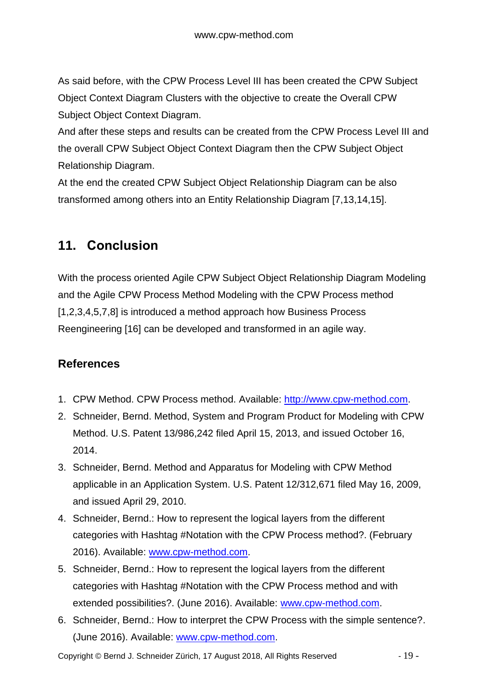As said before, with the CPW Process Level III has been created the CPW Subject Object Context Diagram Clusters with the objective to create the Overall CPW Subject Object Context Diagram.

And after these steps and results can be created from the CPW Process Level III and the overall CPW Subject Object Context Diagram then the CPW Subject Object Relationship Diagram.

At the end the created CPW Subject Object Relationship Diagram can be also transformed among others into an Entity Relationship Diagram [7,13,14,15].

### **11. Conclusion**

With the process oriented Agile CPW Subject Object Relationship Diagram Modeling and the Agile CPW Process Method Modeling with the CPW Process method [1,2,3,4,5,7,8] is introduced a method approach how Business Process Reengineering [16] can be developed and transformed in an agile way.

### **References**

- 1. CPW Method. CPW Process method. Available: [http://www.cpw-method.com.](http://www.cpw-method.com/)
- 2. Schneider, Bernd. Method, System and Program Product for Modeling with CPW Method. U.S. Patent 13/986,242 filed April 15, 2013, and issued October 16, 2014.
- 3. Schneider, Bernd. Method and Apparatus for Modeling with CPW Method applicable in an Application System. U.S. Patent 12/312,671 filed May 16, 2009, and issued April 29, 2010.
- 4. Schneider, Bernd.: How to represent the logical layers from the different categories with Hashtag #Notation with the CPW Process method?. (February 2016). Available: [www.cpw-method.com.](http://www.cpw-method.com/)
- 5. Schneider, Bernd.: How to represent the logical layers from the different categories with Hashtag #Notation with the CPW Process method and with extended possibilities?. (June 2016). Available: [www.cpw-method.com.](http://www.cpw-method.com/)
- 6. Schneider, Bernd.: How to interpret the CPW Process with the simple sentence?. (June 2016). Available: [www.cpw-method.com.](http://www.cpw-method.com/)